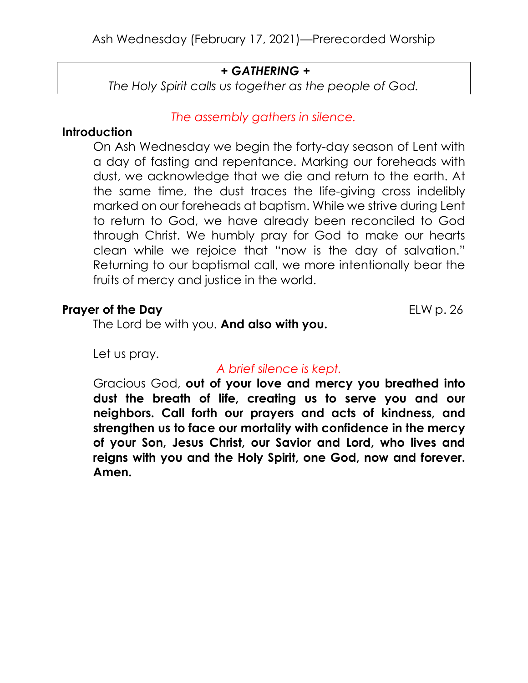# + GATHERING +

The Holy Spirit calls us together as the people of God.

# The assembly gathers in silence.

# **Introduction**

On Ash Wednesday we begin the forty-day season of Lent with a day of fasting and repentance. Marking our foreheads with dust, we acknowledge that we die and return to the earth. At the same time, the dust traces the life-giving cross indelibly marked on our foreheads at baptism. While we strive during Lent to return to God, we have already been reconciled to God through Christ. We humbly pray for God to make our hearts clean while we rejoice that "now is the day of salvation." Returning to our baptismal call, we more intentionally bear the fruits of mercy and justice in the world.

# **Prayer of the Day** ELW p. 26

The Lord be with you. And also with you.

Let us pray.

# A brief silence is kept.

Gracious God, out of your love and mercy you breathed into dust the breath of life, creating us to serve you and our neighbors. Call forth our prayers and acts of kindness, and strengthen us to face our mortality with confidence in the mercy of your Son, Jesus Christ, our Savior and Lord, who lives and reigns with you and the Holy Spirit, one God, now and forever. Amen.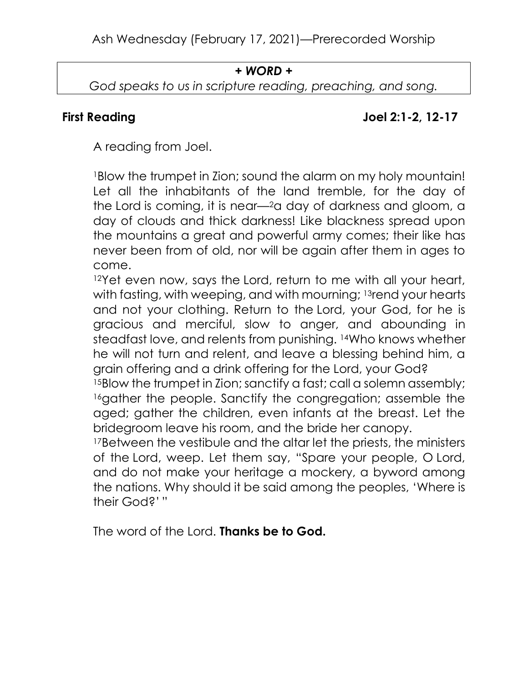### + WORD +

God speaks to us in scripture reading, preaching, and song.

# First Reading The Lines of the United States of the Joel 2:1-2, 12-17

A reading from Joel.

<sup>1</sup>Blow the trumpet in Zion; sound the alarm on my holy mountain! Let all the inhabitants of the land tremble, for the day of the Lord is coming, it is near—2a day of darkness and gloom, a day of clouds and thick darkness! Like blackness spread upon the mountains a great and powerful army comes; their like has never been from of old, nor will be again after them in ages to come.

<sup>12</sup>Yet even now, says the Lord, return to me with all your heart, with fasting, with weeping, and with mourning; 13rend your hearts and not your clothing. Return to the Lord, your God, for he is gracious and merciful, slow to anger, and abounding in steadfast love, and relents from punishing. 14Who knows whether he will not turn and relent, and leave a blessing behind him, a grain offering and a drink offering for the Lord, your God?

<sup>15</sup>Blow the trumpet in Zion; sanctify a fast; call a solemn assembly; 16gather the people. Sanctify the congregation; assemble the aged; gather the children, even infants at the breast. Let the bridegroom leave his room, and the bride her canopy.

<sup>17</sup>Between the vestibule and the altar let the priests, the ministers of the Lord, weep. Let them say, "Spare your people, O Lord, and do not make your heritage a mockery, a byword among the nations. Why should it be said among the peoples, 'Where is their God?' "

The word of the Lord. **Thanks be to God.**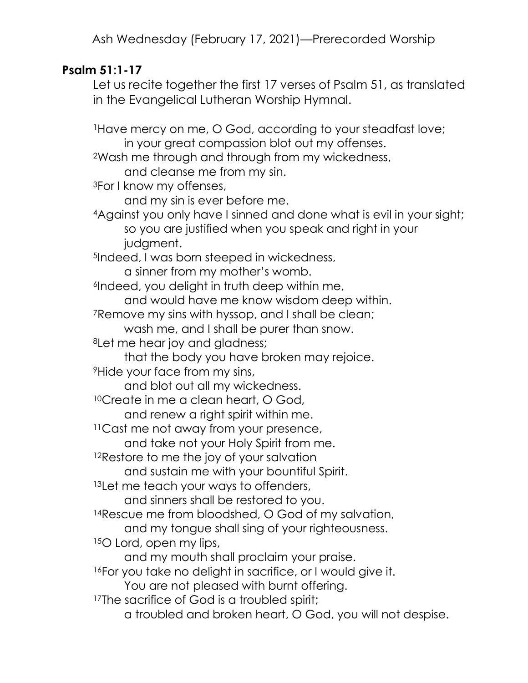# Psalm 51:1-17

Let us recite together the first 17 verses of Psalm 51, as translated in the Evangelical Lutheran Worship Hymnal.

<sup>1</sup>Have mercy on me, O God, according to your steadfast love; in your great compassion blot out my offenses. <sup>2</sup>Wash me through and through from my wickedness, and cleanse me from my sin. <sup>3</sup>For I know my offenses, and my sin is ever before me. <sup>4</sup>Against you only have I sinned and done what is evil in your sight; so you are justified when you speak and right in your judgment. <sup>5</sup>Indeed, I was born steeped in wickedness, a sinner from my mother's womb. <sup>6</sup>Indeed, you delight in truth deep within me, and would have me know wisdom deep within. <sup>7</sup>Remove my sins with hyssop, and I shall be clean; wash me, and I shall be purer than snow. <sup>8</sup>Let me hear joy and gladness; that the body you have broken may rejoice. <sup>9</sup>Hide your face from my sins, and blot out all my wickedness. <sup>10</sup>Create in me a clean heart, O God, and renew a right spirit within me. <sup>11</sup> Cast me not away from your presence, and take not your Holy Spirit from me. <sup>12</sup>Restore to me the joy of your salvation and sustain me with your bountiful Spirit. <sup>13</sup>Let me teach your ways to offenders, and sinners shall be restored to you. <sup>14</sup>Rescue me from bloodshed, O God of my salvation, and my tongue shall sing of your righteousness. <sup>15</sup>O Lord, open my lips, and my mouth shall proclaim your praise. <sup>16</sup>For you take no delight in sacrifice, or I would give it. You are not pleased with burnt offering. <sup>17</sup>The sacrifice of God is a troubled spirit; a troubled and broken heart, O God, you will not despise.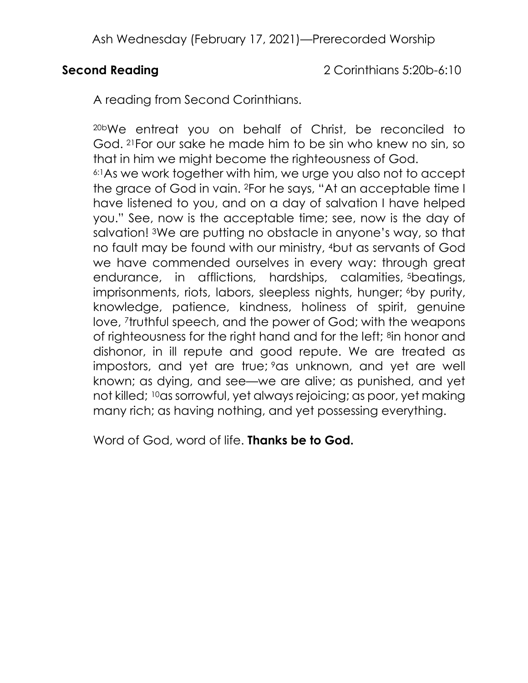Second Reading 2 Corinthians 5:20b-6:10

A reading from Second Corinthians.

20bWe entreat you on behalf of Christ, be reconciled to God. 21For our sake he made him to be sin who knew no sin, so that in him we might become the righteousness of God. 6:1As we work together with him, we urge you also not to accept the grace of God in vain. 2For he says, "At an acceptable time I have listened to you, and on a day of salvation I have helped you." See, now is the acceptable time; see, now is the day of salvation! 3We are putting no obstacle in anyone's way, so that no fault may be found with our ministry, 4but as servants of God we have commended ourselves in every way: through great endurance, in afflictions, hardships, calamities, <sup>5</sup>beatings, imprisonments, riots, labors, sleepless nights, hunger; 6by purity, knowledge, patience, kindness, holiness of spirit, genuine love, 7truthful speech, and the power of God; with the weapons of righteousness for the right hand and for the left; 8in honor and dishonor, in ill repute and good repute. We are treated as impostors, and yet are true; <sup>9</sup>as unknown, and yet are well known; as dying, and see—we are alive; as punished, and yet not killed; 10as sorrowful, yet always rejoicing; as poor, yet making many rich; as having nothing, and yet possessing everything.

Word of God, word of life. **Thanks be to God.**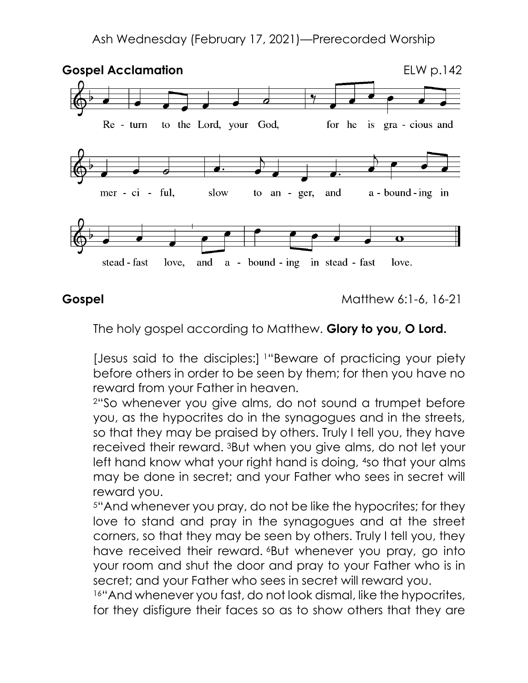

**Gospel** Matthew 6:1-6, 16-21

The holy gospel according to Matthew. Glory to you, O Lord.

[Jesus said to the disciples:] 1"Beware of practicing your piety before others in order to be seen by them; for then you have no reward from your Father in heaven.

<sup>2</sup>"So whenever you give alms, do not sound a trumpet before you, as the hypocrites do in the synagogues and in the streets, so that they may be praised by others. Truly I tell you, they have received their reward. 3But when you give alms, do not let your left hand know what your right hand is doing, 4so that your alms may be done in secret; and your Father who sees in secret will reward you.

<sup>5</sup>"And whenever you pray, do not be like the hypocrites; for they love to stand and pray in the synagogues and at the street corners, so that they may be seen by others. Truly I tell you, they have received their reward. **But whenever you pray, go into** your room and shut the door and pray to your Father who is in secret; and your Father who sees in secret will reward you.

16"And whenever you fast, do not look dismal, like the hypocrites, for they disfigure their faces so as to show others that they are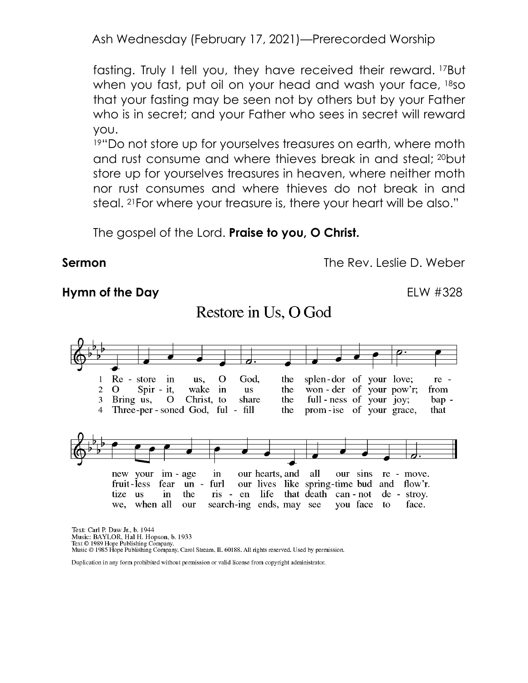fasting. Truly I tell you, they have received their reward. 17But when you fast, put oil on your head and wash your face, 18so that your fasting may be seen not by others but by your Father who is in secret; and your Father who sees in secret will reward you.

<sup>19"</sup>Do not store up for yourselves treasures on earth, where moth and rust consume and where thieves break in and steal; 20but store up for yourselves treasures in heaven, where neither moth nor rust consumes and where thieves do not break in and steal. 21For where your treasure is, there your heart will be also."

The gospel of the Lord. **Praise to you, O Christ.** 

**Sermon** The Rev. Leslie D. Weber

#### Hymn of the Day **ELW #328**



Text: Carl P. Daw Jr., b. 1944 Music: BAYLOR, Hal H. Hopson, b. 1933 Text © 1989 Hope Publishing Company. Music © 1985 Hope Publishing Company, Carol Stream, IL 60188. All rights reserved. Used by permission.

Duplication in any form prohibited without permission or valid license from copyright administrator.

# Restore in Us, O God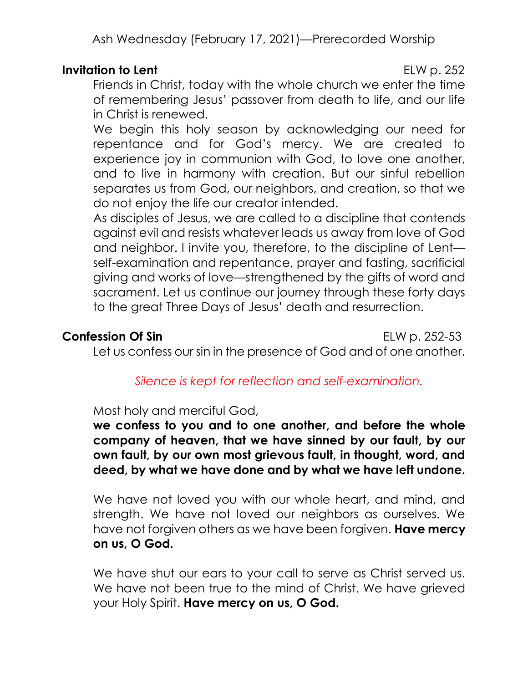## Invitation to Lent ELW p. 252

Friends in Christ, today with the whole church we enter the time of remembering Jesus' passover from death to life, and our life in Christ is renewed.

We begin this holy season by acknowledging our need for repentance and for God's mercy. We are created to experience joy in communion with God, to love one another, and to live in harmony with creation. But our sinful rebellion separates us from God, our neighbors, and creation, so that we do not enjoy the life our creator intended.

As disciples of Jesus, we are called to a discipline that contends against evil and resists whatever leads us away from love of God and neighbor. I invite you, therefore, to the discipline of Lent self-examination and repentance, prayer and fasting, sacrificial giving and works of love—strengthened by the gifts of word and sacrament. Let us continue our journey through these forty days to the great Three Days of Jesus' death and resurrection.

### **Confession Of Sin ELW p. 252-53**

Let us confess our sin in the presence of God and of one another.

# Silence is kept for reflection and self-examination.

#### Most holy and merciful God,

we confess to you and to one another, and before the whole company of heaven, that we have sinned by our fault, by our own fault, by our own most grievous fault, in thought, word, and deed, by what we have done and by what we have left undone.

We have not loved you with our whole heart, and mind, and strength. We have not loved our neighbors as ourselves. We have not forgiven others as we have been forgiven. Have mercy on us, O God.

We have shut our ears to your call to serve as Christ served us. We have not been true to the mind of Christ. We have grieved your Holy Spirit. Have mercy on us, O God.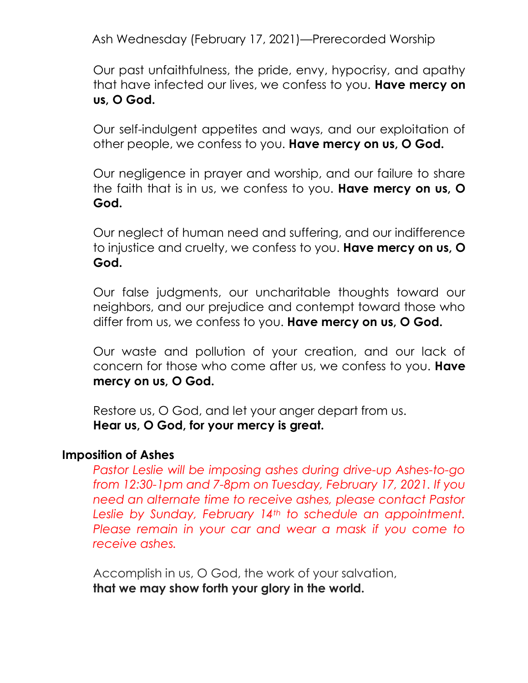Our past unfaithfulness, the pride, envy, hypocrisy, and apathy that have infected our lives, we confess to you. Have mercy on us, O God.

Our self-indulgent appetites and ways, and our exploitation of other people, we confess to you. Have mercy on us, O God.

Our negligence in prayer and worship, and our failure to share the faith that is in us, we confess to you. Have mercy on us, O God.

Our neglect of human need and suffering, and our indifference to injustice and cruelty, we confess to you. Have mercy on us, O God.

Our false judgments, our uncharitable thoughts toward our neighbors, and our prejudice and contempt toward those who differ from us, we confess to you. Have mercy on us, O God.

Our waste and pollution of your creation, and our lack of concern for those who come after us, we confess to you. Have mercy on us, O God.

Restore us, O God, and let your anger depart from us. Hear us, O God, for your mercy is great.

### Imposition of Ashes

Pastor Leslie will be imposing ashes during drive-up Ashes-to-go from 12:30-1pm and 7-8pm on Tuesday, February 17, 2021. If you need an alternate time to receive ashes, please contact Pastor Leslie by Sunday, February 14<sup>th</sup> to schedule an appointment. Please remain in your car and wear a mask if you come to receive ashes.

Accomplish in us, O God, the work of your salvation, that we may show forth your glory in the world.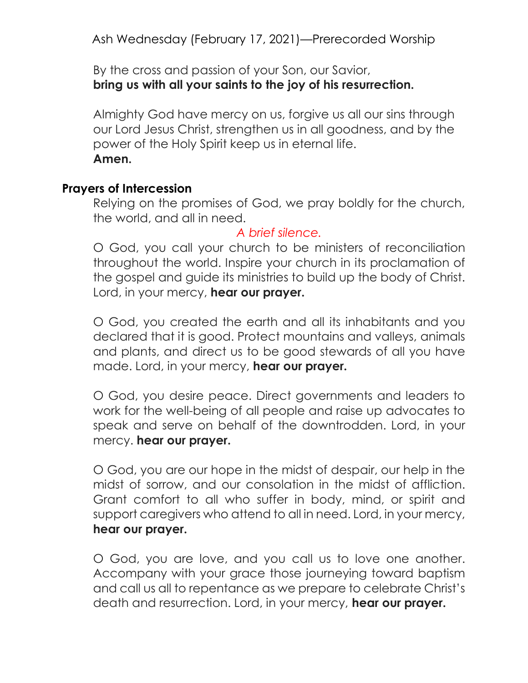By the cross and passion of your Son, our Savior, bring us with all your saints to the joy of his resurrection.

Almighty God have mercy on us, forgive us all our sins through our Lord Jesus Christ, strengthen us in all goodness, and by the power of the Holy Spirit keep us in eternal life. Amen.

#### Prayers of Intercession

Relying on the promises of God, we pray boldly for the church, the world, and all in need.

#### A brief silence.

O God, you call your church to be ministers of reconciliation throughout the world. Inspire your church in its proclamation of the gospel and guide its ministries to build up the body of Christ. Lord, in your mercy, hear our prayer.

O God, you created the earth and all its inhabitants and you declared that it is good. Protect mountains and valleys, animals and plants, and direct us to be good stewards of all you have made. Lord, in your mercy, hear our prayer.

O God, you desire peace. Direct governments and leaders to work for the well-being of all people and raise up advocates to speak and serve on behalf of the downtrodden. Lord, in your mercy. hear our prayer.

O God, you are our hope in the midst of despair, our help in the midst of sorrow, and our consolation in the midst of affliction. Grant comfort to all who suffer in body, mind, or spirit and support caregivers who attend to all in need. Lord, in your mercy, hear our prayer.

O God, you are love, and you call us to love one another. Accompany with your grace those journeying toward baptism and call us all to repentance as we prepare to celebrate Christ's death and resurrection. Lord, in your mercy, hear our prayer.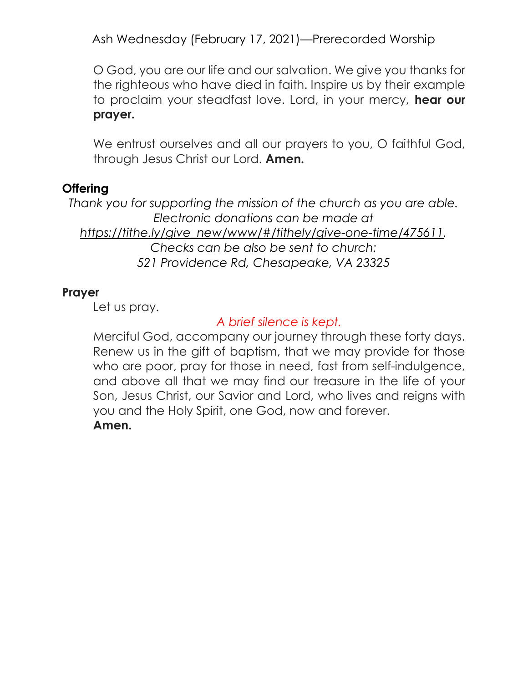O God, you are our life and our salvation. We give you thanks for the righteous who have died in faith. Inspire us by their example to proclaim your steadfast love. Lord, in your mercy, hear our prayer.

We entrust ourselves and all our prayers to you, O faithful God, through Jesus Christ our Lord. **Amen.** 

### **Offering**

Thank you for supporting the mission of the church as you are able. Electronic donations can be made at https://tithe.ly/give\_new/www/#/tithely/give-one-time/475611. Checks can be also be sent to church: 521 Providence Rd, Chesapeake, VA 23325

#### Prayer

Let us pray.

# A brief silence is kept.

Merciful God, accompany our journey through these forty days. Renew us in the gift of baptism, that we may provide for those who are poor, pray for those in need, fast from self-indulgence, and above all that we may find our treasure in the life of your Son, Jesus Christ, our Savior and Lord, who lives and reigns with you and the Holy Spirit, one God, now and forever. Amen.